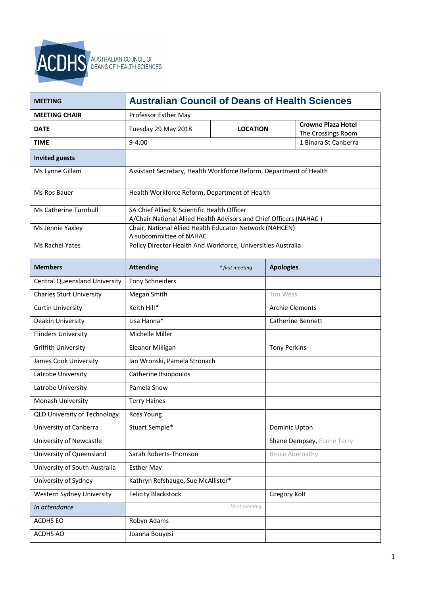

| <b>MEETING</b>                       | <b>Australian Council of Deans of Health Sciences</b>              |                 |                        |                                                 |
|--------------------------------------|--------------------------------------------------------------------|-----------------|------------------------|-------------------------------------------------|
| <b>MEETING CHAIR</b>                 | Professor Esther May                                               |                 |                        |                                                 |
| <b>DATE</b>                          | Tuesday 29 May 2018                                                | <b>LOCATION</b> |                        | <b>Crowne Plaza Hotel</b><br>The Crossings Room |
| <b>TIME</b>                          | $9 - 4.00$                                                         |                 |                        | 1 Binara St Canberra                            |
| <b>Invited guests</b>                |                                                                    |                 |                        |                                                 |
| Ms Lynne Gillam                      | Assistant Secretary, Health Workforce Reform, Department of Health |                 |                        |                                                 |
| Ms Ros Bauer                         | Health Workforce Reform, Department of Health                      |                 |                        |                                                 |
| Ms Catherine Turnbull                | SA Chief Allied & Scientific Health Officer                        |                 |                        |                                                 |
|                                      | A/Chair National Allied Health Advisors and Chief Officers (NAHAC) |                 |                        |                                                 |
| Ms Jennie Yaxley                     | Chair, National Allied Health Educator Network (NAHCEN)            |                 |                        |                                                 |
|                                      | A subcommittee of NAHAC                                            |                 |                        |                                                 |
| Ms Rachel Yates                      | Policy Director Health And Workforce, Universities Australia       |                 |                        |                                                 |
| <b>Members</b>                       | <b>Attending</b>                                                   | * first meeting | <b>Apologies</b>       |                                                 |
| <b>Central Queensland University</b> | <b>Tony Schneiders</b>                                             |                 |                        |                                                 |
| <b>Charles Sturt University</b>      | Megan Smith                                                        |                 | Tim Wess               |                                                 |
| <b>Curtin University</b>             | Keith Hill*                                                        |                 | <b>Archie Clements</b> |                                                 |
| Deakin University                    | Lisa Hanna*                                                        |                 |                        | <b>Catherine Bennett</b>                        |
| <b>Flinders University</b>           | Michelle Miller                                                    |                 |                        |                                                 |
| <b>Griffith University</b>           | Eleanor Milligan                                                   |                 | <b>Tony Perkins</b>    |                                                 |
| James Cook University                | Ian Wronski, Pamela Stronach                                       |                 |                        |                                                 |
| Latrobe University                   | Catherine Itsiopoulos                                              |                 |                        |                                                 |
| Latrobe University                   | Pamela Snow                                                        |                 |                        |                                                 |
| Monash University                    | <b>Terry Haines</b>                                                |                 |                        |                                                 |
| <b>QLD University of Technology</b>  | Ross Young                                                         |                 |                        |                                                 |
| University of Canberra               | Stuart Semple*                                                     |                 | Dominic Upton          |                                                 |
| University of Newcastle              |                                                                    |                 |                        | Shane Dempsey, Elaine Terry                     |
| University of Queensland             | Sarah Roberts-Thomson                                              |                 | <b>Bruce Abernathy</b> |                                                 |
| University of South Australia        | <b>Esther May</b>                                                  |                 |                        |                                                 |
| University of Sydney                 | Kathryn Refshauge, Sue McAllister*                                 |                 |                        |                                                 |
| Western Sydney University            | <b>Felicity Blackstock</b>                                         |                 | Gregory Kolt           |                                                 |
| In attendance                        |                                                                    | *first meeting  |                        |                                                 |
| ACDHS EO                             | Robyn Adams                                                        |                 |                        |                                                 |
| ACDHS AO                             | Joanna Bouyesi                                                     |                 |                        |                                                 |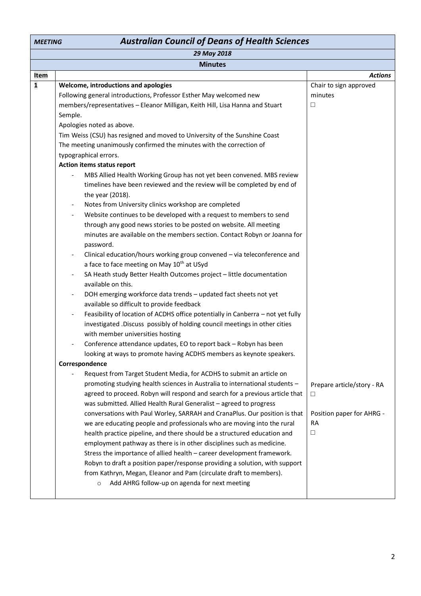| <b>Australian Council of Deans of Health Sciences</b><br><b>MEETING</b> |                                                                                                             |                            |
|-------------------------------------------------------------------------|-------------------------------------------------------------------------------------------------------------|----------------------------|
|                                                                         | 29 May 2018                                                                                                 |                            |
|                                                                         | <b>Minutes</b>                                                                                              |                            |
| Item                                                                    |                                                                                                             | <b>Actions</b>             |
| $\mathbf 1$                                                             | Welcome, introductions and apologies                                                                        | Chair to sign approved     |
|                                                                         | Following general introductions, Professor Esther May welcomed new                                          | minutes                    |
|                                                                         | members/representatives - Eleanor Milligan, Keith Hill, Lisa Hanna and Stuart                               | $\Box$                     |
|                                                                         | Semple.                                                                                                     |                            |
|                                                                         | Apologies noted as above.                                                                                   |                            |
|                                                                         | Tim Weiss (CSU) has resigned and moved to University of the Sunshine Coast                                  |                            |
|                                                                         | The meeting unanimously confirmed the minutes with the correction of                                        |                            |
|                                                                         | typographical errors.                                                                                       |                            |
|                                                                         | Action items status report                                                                                  |                            |
|                                                                         | MBS Allied Health Working Group has not yet been convened. MBS review                                       |                            |
|                                                                         | timelines have been reviewed and the review will be completed by end of                                     |                            |
|                                                                         | the year (2018).                                                                                            |                            |
|                                                                         | Notes from University clinics workshop are completed<br>$\overline{\phantom{0}}$                            |                            |
|                                                                         | Website continues to be developed with a request to members to send<br>$\qquad \qquad \blacksquare$         |                            |
|                                                                         | through any good news stories to be posted on website. All meeting                                          |                            |
|                                                                         | minutes are available on the members section. Contact Robyn or Joanna for                                   |                            |
|                                                                         | password.                                                                                                   |                            |
|                                                                         | Clinical education/hours working group convened - via teleconference and<br>$\overline{\phantom{0}}$        |                            |
|                                                                         | a face to face meeting on May 10 <sup>th</sup> at USyd                                                      |                            |
|                                                                         | SA Heath study Better Health Outcomes project - little documentation<br>available on this.                  |                            |
|                                                                         | DOH emerging workforce data trends - updated fact sheets not yet                                            |                            |
|                                                                         | $\overline{\phantom{a}}$<br>available so difficult to provide feedback                                      |                            |
|                                                                         | Feasibility of location of ACDHS office potentially in Canberra - not yet fully<br>$\overline{\phantom{a}}$ |                            |
|                                                                         | investigated .Discuss possibly of holding council meetings in other cities                                  |                            |
|                                                                         | with member universities hosting                                                                            |                            |
|                                                                         | Conference attendance updates, EO to report back - Robyn has been                                           |                            |
|                                                                         | looking at ways to promote having ACDHS members as keynote speakers.                                        |                            |
|                                                                         | Correspondence                                                                                              |                            |
|                                                                         | Request from Target Student Media, for ACDHS to submit an article on                                        |                            |
|                                                                         | promoting studying health sciences in Australia to international students -                                 | Prepare article/story - RA |
|                                                                         | agreed to proceed. Robyn will respond and search for a previous article that                                | □                          |
|                                                                         | was submitted. Allied Health Rural Generalist - agreed to progress                                          |                            |
|                                                                         | conversations with Paul Worley, SARRAH and CranaPlus. Our position is that                                  | Position paper for AHRG -  |
|                                                                         | we are educating people and professionals who are moving into the rural                                     | <b>RA</b>                  |
|                                                                         | health practice pipeline, and there should be a structured education and                                    | $\Box$                     |
|                                                                         | employment pathway as there is in other disciplines such as medicine.                                       |                            |
|                                                                         | Stress the importance of allied health - career development framework.                                      |                            |
|                                                                         | Robyn to draft a position paper/response providing a solution, with support                                 |                            |
|                                                                         | from Kathryn, Megan, Eleanor and Pam (circulate draft to members).                                          |                            |
|                                                                         | Add AHRG follow-up on agenda for next meeting<br>$\circ$                                                    |                            |
|                                                                         |                                                                                                             |                            |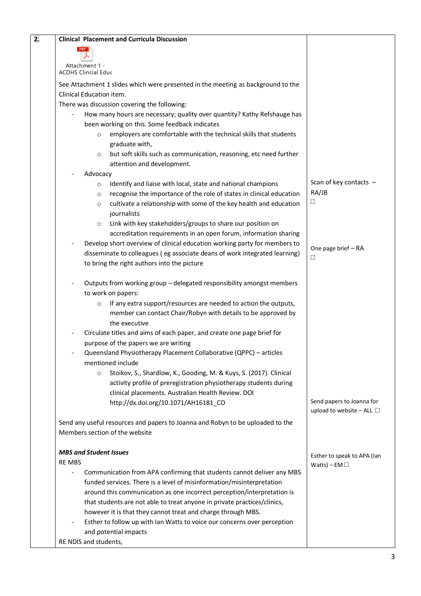| 2. | <b>Clinical Placement and Curricula Discussion</b>                                                                                           |                                  |
|----|----------------------------------------------------------------------------------------------------------------------------------------------|----------------------------------|
|    | <b>PDF</b>                                                                                                                                   |                                  |
|    |                                                                                                                                              |                                  |
|    | Attachment 1 -<br><b>ACDHS Clincial Educ</b>                                                                                                 |                                  |
|    | See Attachment 1 slides which were presented in the meeting as background to the                                                             |                                  |
|    | Clinical Education item.                                                                                                                     |                                  |
|    | There was discussion covering the following:                                                                                                 |                                  |
|    | How many hours are necessary; quality over quantity? Kathy Refshauge has                                                                     |                                  |
|    | been working on this. Some feedback indicates                                                                                                |                                  |
|    | employers are comfortable with the technical skills that students<br>$\circ$                                                                 |                                  |
|    | graduate with,                                                                                                                               |                                  |
|    | but soft skills such as communication, reasoning, etc need further<br>$\circ$                                                                |                                  |
|    | attention and development.                                                                                                                   |                                  |
|    | Advocacy                                                                                                                                     |                                  |
|    | Identify and liaise with local, state and national champions<br>$\circ$                                                                      | Scan of key contacts $-$         |
|    | recognise the importance of the role of states in clinical education<br>$\circ$                                                              | RA/JB                            |
|    | cultivate a relationship with some of the key health and education<br>$\circ$                                                                | □                                |
|    | journalists                                                                                                                                  |                                  |
|    | Link with key stakeholders/groups to share our position on<br>$\circ$                                                                        |                                  |
|    | accreditation requirements in an open forum, information sharing                                                                             |                                  |
|    | Develop short overview of clinical education working party for members to                                                                    | One page brief - RA              |
|    | disseminate to colleagues (eg associate deans of work integrated learning)                                                                   | □                                |
|    | to bring the right authors into the picture                                                                                                  |                                  |
|    |                                                                                                                                              |                                  |
|    | Outputs from working group - delegated responsibility amongst members                                                                        |                                  |
|    | to work on papers:                                                                                                                           |                                  |
|    | If any extra support/resources are needed to action the outputs,<br>$\circ$<br>member can contact Chair/Robyn with details to be approved by |                                  |
|    | the executive                                                                                                                                |                                  |
|    | Circulate titles and aims of each paper, and create one page brief for                                                                       |                                  |
|    | purpose of the papers we are writing                                                                                                         |                                  |
|    | Queensland Physiotherapy Placement Collaborative (QPPC) - articles                                                                           |                                  |
|    | mentioned include                                                                                                                            |                                  |
|    | Stoikov, S., Shardlow, K., Gooding, M. & Kuys, S. (2017). Clinical<br>$\circ$                                                                |                                  |
|    | activity profile of preregistration physiotherapy students during                                                                            |                                  |
|    | clinical placements. Australian Health Review. DOI                                                                                           |                                  |
|    | http://dx.doi.org/10.1071/AH16181_CO                                                                                                         | Send papers to Joanna for        |
|    |                                                                                                                                              | upload to website $-$ ALL $\Box$ |
|    | Send any useful resources and papers to Joanna and Robyn to be uploaded to the                                                               |                                  |
|    | Members section of the website                                                                                                               |                                  |
|    |                                                                                                                                              |                                  |
|    | <b>MBS and Student Issues</b>                                                                                                                | Esther to speak to APA (Ian      |
|    | <b>RE MBS</b>                                                                                                                                | Watts) – EM $\Box$               |
|    | Communication from APA confirming that students cannot deliver any MBS                                                                       |                                  |
|    | funded services. There is a level of misinformation/misinterpretation                                                                        |                                  |
|    | around this communication as one incorrect perception/interpretation is                                                                      |                                  |
|    | that students are not able to treat anyone in private practices/clinics,                                                                     |                                  |
|    | however it is that they cannot treat and charge through MBS.                                                                                 |                                  |
|    | Esther to follow up with Ian Watts to voice our concerns over perception                                                                     |                                  |
|    | and potential impacts<br>RE NDIS and students,                                                                                               |                                  |
|    |                                                                                                                                              |                                  |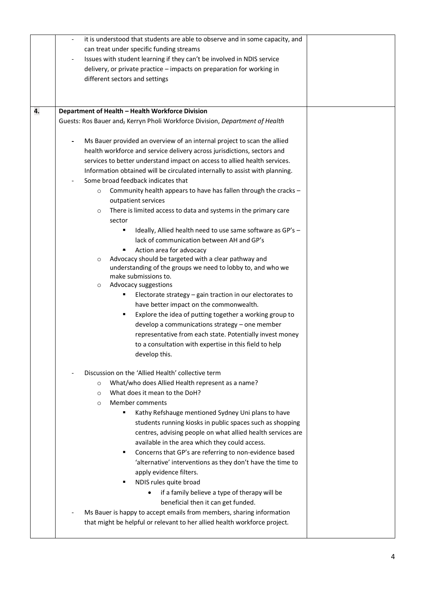|    | it is understood that students are able to observe and in some capacity, and<br>$\overline{\phantom{a}}$ |  |
|----|----------------------------------------------------------------------------------------------------------|--|
|    | can treat under specific funding streams                                                                 |  |
|    | Issues with student learning if they can't be involved in NDIS service                                   |  |
|    | delivery, or private practice - impacts on preparation for working in                                    |  |
|    | different sectors and settings                                                                           |  |
|    |                                                                                                          |  |
|    |                                                                                                          |  |
| 4. | Department of Health - Health Workforce Division                                                         |  |
|    | Guests: Ros Bauer and, Kerryn Pholi Workforce Division, Department of Health                             |  |
|    |                                                                                                          |  |
|    | Ms Bauer provided an overview of an internal project to scan the allied<br>$\overline{\phantom{0}}$      |  |
|    | health workforce and service delivery across jurisdictions, sectors and                                  |  |
|    | services to better understand impact on access to allied health services.                                |  |
|    | Information obtained will be circulated internally to assist with planning.                              |  |
|    | Some broad feedback indicates that                                                                       |  |
|    | Community health appears to have has fallen through the cracks -<br>$\circ$                              |  |
|    | outpatient services                                                                                      |  |
|    | There is limited access to data and systems in the primary care<br>$\circ$                               |  |
|    | sector                                                                                                   |  |
|    | Ideally, Allied health need to use same software as GP's -<br>٠                                          |  |
|    | lack of communication between AH and GP's                                                                |  |
|    | Action area for advocacy                                                                                 |  |
|    | Advocacy should be targeted with a clear pathway and<br>$\circ$                                          |  |
|    | understanding of the groups we need to lobby to, and who we                                              |  |
|    | make submissions to.                                                                                     |  |
|    | Advocacy suggestions<br>$\circ$                                                                          |  |
|    | Electorate strategy - gain traction in our electorates to<br>٠                                           |  |
|    | have better impact on the commonwealth.                                                                  |  |
|    | Explore the idea of putting together a working group to<br>٠                                             |  |
|    | develop a communications strategy - one member                                                           |  |
|    | representative from each state. Potentially invest money                                                 |  |
|    | to a consultation with expertise in this field to help                                                   |  |
|    | develop this.                                                                                            |  |
|    |                                                                                                          |  |
|    | Discussion on the 'Allied Health' collective term                                                        |  |
|    | What/who does Allied Health represent as a name?<br>$\circ$                                              |  |
|    | What does it mean to the DoH?<br>$\circ$                                                                 |  |
|    | Member comments<br>$\circ$                                                                               |  |
|    | Kathy Refshauge mentioned Sydney Uni plans to have                                                       |  |
|    | students running kiosks in public spaces such as shopping                                                |  |
|    | centres, advising people on what allied health services are                                              |  |
|    | available in the area which they could access.                                                           |  |
|    | Concerns that GP's are referring to non-evidence based<br>٠                                              |  |
|    | 'alternative' interventions as they don't have the time to                                               |  |
|    | apply evidence filters.                                                                                  |  |
|    | NDIS rules quite broad<br>٠                                                                              |  |
|    | if a family believe a type of therapy will be                                                            |  |
|    | beneficial then it can get funded.                                                                       |  |
|    | Ms Bauer is happy to accept emails from members, sharing information                                     |  |
|    | that might be helpful or relevant to her allied health workforce project.                                |  |
|    |                                                                                                          |  |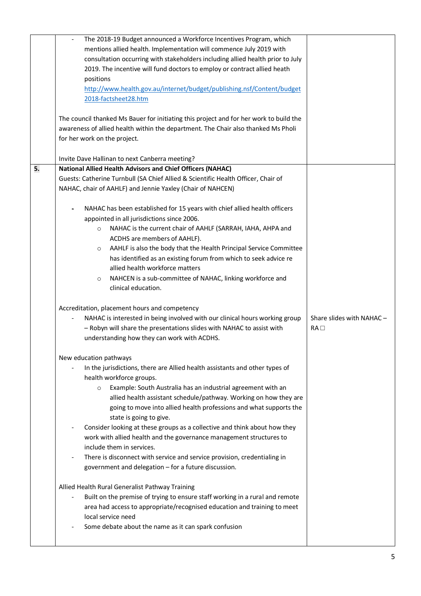|    | The 2018-19 Budget announced a Workforce Incentives Program, which<br>$\overline{\phantom{a}}$ |                           |
|----|------------------------------------------------------------------------------------------------|---------------------------|
|    | mentions allied health. Implementation will commence July 2019 with                            |                           |
|    | consultation occurring with stakeholders including allied health prior to July                 |                           |
|    | 2019. The incentive will fund doctors to employ or contract allied heath                       |                           |
|    | positions                                                                                      |                           |
|    | http://www.health.gov.au/internet/budget/publishing.nsf/Content/budget                         |                           |
|    | 2018-factsheet28.htm                                                                           |                           |
|    |                                                                                                |                           |
|    |                                                                                                |                           |
|    | The council thanked Ms Bauer for initiating this project and for her work to build the         |                           |
|    | awareness of allied health within the department. The Chair also thanked Ms Pholi              |                           |
|    | for her work on the project.                                                                   |                           |
|    |                                                                                                |                           |
|    | Invite Dave Hallinan to next Canberra meeting?                                                 |                           |
| 5. | <b>National Allied Health Advisors and Chief Officers (NAHAC)</b>                              |                           |
|    | Guests: Catherine Turnbull (SA Chief Allied & Scientific Health Officer, Chair of              |                           |
|    | NAHAC, chair of AAHLF) and Jennie Yaxley (Chair of NAHCEN)                                     |                           |
|    |                                                                                                |                           |
|    | NAHAC has been established for 15 years with chief allied health officers                      |                           |
|    | appointed in all jurisdictions since 2006.                                                     |                           |
|    |                                                                                                |                           |
|    | NAHAC is the current chair of AAHLF (SARRAH, IAHA, AHPA and<br>$\circ$                         |                           |
|    | ACDHS are members of AAHLF).                                                                   |                           |
|    | AAHLF is also the body that the Health Principal Service Committee<br>$\circ$                  |                           |
|    | has identified as an existing forum from which to seek advice re                               |                           |
|    | allied health workforce matters                                                                |                           |
|    | NAHCEN is a sub-committee of NAHAC, linking workforce and<br>$\circ$                           |                           |
|    | clinical education.                                                                            |                           |
|    |                                                                                                |                           |
|    | Accreditation, placement hours and competency                                                  |                           |
|    |                                                                                                |                           |
|    |                                                                                                |                           |
|    | NAHAC is interested in being involved with our clinical hours working group                    | Share slides with NAHAC - |
|    | - Robyn will share the presentations slides with NAHAC to assist with                          | RA                        |
|    | understanding how they can work with ACDHS.                                                    |                           |
|    |                                                                                                |                           |
|    | New education pathways                                                                         |                           |
|    | In the jurisdictions, there are Allied health assistants and other types of                    |                           |
|    | health workforce groups.                                                                       |                           |
|    | Example: South Australia has an industrial agreement with an<br>$\circ$                        |                           |
|    | allied health assistant schedule/pathway. Working on how they are                              |                           |
|    | going to move into allied health professions and what supports the                             |                           |
|    | state is going to give.                                                                        |                           |
|    | Consider looking at these groups as a collective and think about how they                      |                           |
|    |                                                                                                |                           |
|    | work with allied health and the governance management structures to                            |                           |
|    | include them in services.                                                                      |                           |
|    | There is disconnect with service and service provision, credentialing in                       |                           |
|    | government and delegation - for a future discussion.                                           |                           |
|    |                                                                                                |                           |
|    | Allied Health Rural Generalist Pathway Training                                                |                           |
|    | Built on the premise of trying to ensure staff working in a rural and remote                   |                           |
|    | area had access to appropriate/recognised education and training to meet                       |                           |
|    | local service need                                                                             |                           |
|    | Some debate about the name as it can spark confusion                                           |                           |
|    |                                                                                                |                           |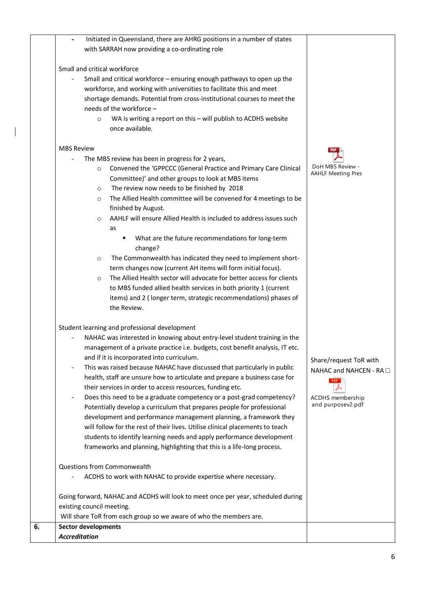| Initiated in Queensland, there are AHRG positions in a number of states                              |                           |
|------------------------------------------------------------------------------------------------------|---------------------------|
| with SARRAH now providing a co-ordinating role                                                       |                           |
| Small and critical workforce                                                                         |                           |
| Small and critical workforce - ensuring enough pathways to open up the                               |                           |
| workforce, and working with universities to facilitate this and meet                                 |                           |
| shortage demands. Potential from cross-institutional courses to meet the                             |                           |
| needs of the workforce -                                                                             |                           |
| WA is writing a report on this - will publish to ACDHS website<br>$\circ$<br>once available.         |                           |
| <b>MBS Review</b>                                                                                    |                           |
| The MBS review has been in progress for 2 years,                                                     |                           |
| Convened the 'GPPCCC (General Practice and Primary Care Clinical<br>$\circ$                          | DoH MBS Review -          |
| Committee)' and other groups to look at MBS items                                                    | <b>AAHLF Meeting Pres</b> |
| The review now needs to be finished by 2018<br>$\circ$                                               |                           |
| The Allied Health committee will be convened for 4 meetings to be<br>$\circ$                         |                           |
| finished by August.                                                                                  |                           |
| AAHLF will ensure Allied Health is included to address issues such<br>$\circ$                        |                           |
| as                                                                                                   |                           |
| What are the future recommendations for long-term                                                    |                           |
| change?                                                                                              |                           |
| The Commonwealth has indicated they need to implement short-<br>$\circ$                              |                           |
| term changes now (current AH items will form initial focus).                                         |                           |
| The Allied Health sector will advocate for better access for clients<br>$\circ$                      |                           |
| to MBS funded allied health services in both priority 1 (current                                     |                           |
| items) and 2 (longer term, strategic recommendations) phases of<br>the Review.                       |                           |
| Student learning and professional development                                                        |                           |
| NAHAC was interested in knowing about entry-level student training in the                            |                           |
| management of a private practice i.e. budgets, cost benefit analysis, IT etc.                        |                           |
| and if it is incorporated into curriculum.                                                           | Share/request ToR with    |
| This was raised because NAHAC have discussed that particularly in public<br>$\overline{\phantom{a}}$ | NAHAC and NAHCEN - RA □   |
| health, staff are unsure how to articulate and prepare a business case for                           | <b>PDF</b>                |
| their services in order to access resources, funding etc.                                            |                           |
| Does this need to be a graduate competency or a post-grad competency?                                | ACDHS membership          |
| Potentially develop a curriculum that prepares people for professional                               | and purposev2.pdf         |
| development and performance management planning, a framework they                                    |                           |
| will follow for the rest of their lives. Utilise clinical placements to teach                        |                           |
| students to identify learning needs and apply performance development                                |                           |
| frameworks and planning, highlighting that this is a life-long process.                              |                           |
| Questions from Commonwealth                                                                          |                           |
| ACDHS to work with NAHAC to provide expertise where necessary.                                       |                           |
| Going forward, NAHAC and ACDHS will look to meet once per year, scheduled during                     |                           |
| existing council meeting.                                                                            |                           |
| Will share ToR from each group so we aware of who the members are.                                   |                           |
| <b>Sector developments</b>                                                                           |                           |
| <b>Accreditation</b>                                                                                 |                           |

 $\overline{\phantom{a}}$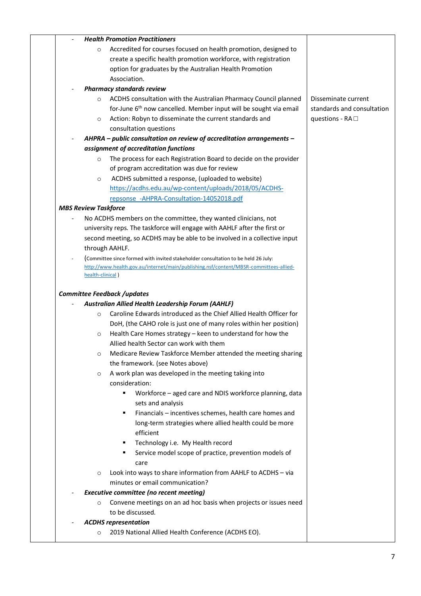| <b>Health Promotion Practitioners</b>                                                                              |                            |
|--------------------------------------------------------------------------------------------------------------------|----------------------------|
| Accredited for courses focused on health promotion, designed to<br>$\circ$                                         |                            |
| create a specific health promotion workforce, with registration                                                    |                            |
| option for graduates by the Australian Health Promotion                                                            |                            |
| Association.                                                                                                       |                            |
| <b>Pharmacy standards review</b>                                                                                   |                            |
| ACDHS consultation with the Australian Pharmacy Council planned<br>$\circ$                                         | Disseminate current        |
| for-June 6 <sup>th</sup> now cancelled. Member input will be sought via email                                      | standards and consultation |
| Action: Robyn to disseminate the current standards and<br>$\circ$                                                  | questions - $RA \square$   |
| consultation questions                                                                                             |                            |
| AHPRA - public consultation on review of accreditation arrangements -                                              |                            |
| assignment of accreditation functions                                                                              |                            |
| The process for each Registration Board to decide on the provider<br>$\circ$                                       |                            |
| of program accreditation was due for review                                                                        |                            |
| ACDHS submitted a response, (uploaded to website)<br>$\circ$                                                       |                            |
| https://acdhs.edu.au/wp-content/uploads/2018/05/ACDHS-                                                             |                            |
| repsonse_-AHPRA-Consultation-14052018.pdf                                                                          |                            |
| <b>MBS Review Taskforce</b>                                                                                        |                            |
| No ACDHS members on the committee, they wanted clinicians, not                                                     |                            |
| university reps. The taskforce will engage with AAHLF after the first or                                           |                            |
| second meeting, so ACDHS may be able to be involved in a collective input                                          |                            |
| through AAHLF.                                                                                                     |                            |
| (Committee since formed with invited stakeholder consultation to be held 26 July:                                  |                            |
| http://www.health.gov.au/internet/main/publishing.nsf/content/MBSR-committees-allied-<br>health-clinical)          |                            |
| Australian Allied Health Leadership Forum (AAHLF)                                                                  |                            |
| Caroline Edwards introduced as the Chief Allied Health Officer for<br>$\circ$                                      |                            |
| DoH, (the CAHO role is just one of many roles within her position)                                                 |                            |
| Health Care Homes strategy - keen to understand for how the<br>$\circ$                                             |                            |
| Allied health Sector can work with them                                                                            |                            |
| Medicare Review Taskforce Member attended the meeting sharing<br>O                                                 |                            |
| the framework. (see Notes above)                                                                                   |                            |
| A work plan was developed in the meeting taking into<br>$\circ$                                                    |                            |
| consideration:<br>Workforce - aged care and NDIS workforce planning, data<br>٠                                     |                            |
| sets and analysis                                                                                                  |                            |
| Financials - incentives schemes, health care homes and<br>п                                                        |                            |
| long-term strategies where allied health could be more                                                             |                            |
| efficient                                                                                                          |                            |
| Technology i.e. My Health record<br>٠                                                                              |                            |
| Service model scope of practice, prevention models of<br>п<br>care                                                 |                            |
| Look into ways to share information from AAHLF to ACDHS - via<br>$\circ$                                           |                            |
| minutes or email communication?                                                                                    |                            |
| <b>Executive committee (no recent meeting)</b><br>Convene meetings on an ad hoc basis when projects or issues need |                            |
| $\circ$<br>to be discussed.                                                                                        |                            |
| <b>ACDHS</b> representation                                                                                        |                            |
|                                                                                                                    |                            |
| 2019 National Allied Health Conference (ACDHS EO).<br>$\circ$                                                      |                            |